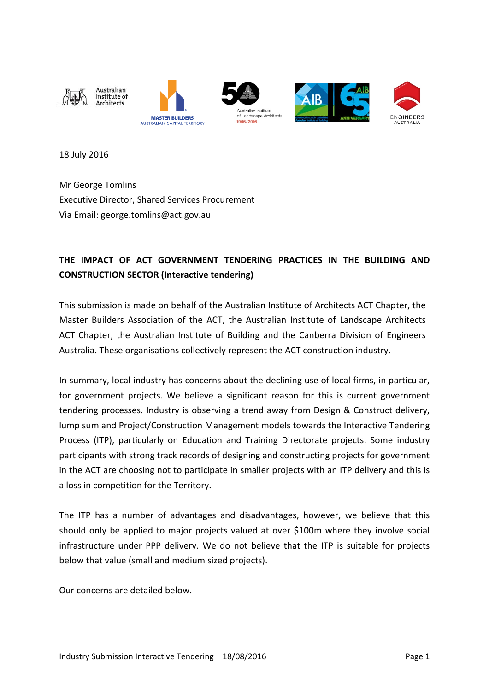

18 July 2016

Mr George Tomlins Executive Director, Shared Services Procurement Via Email: george.tomlins@act.gov.au

# **THE IMPACT OF ACT GOVERNMENT TENDERING PRACTICES IN THE BUILDING AND CONSTRUCTION SECTOR (Interactive tendering)**

This submission is made on behalf of the Australian Institute of Architects ACT Chapter, the Master Builders Association of the ACT, the Australian Institute of Landscape Architects ACT Chapter, the Australian Institute of Building and the Canberra Division of Engineers Australia. These organisations collectively represent the ACT construction industry.

In summary, local industry has concerns about the declining use of local firms, in particular, for government projects. We believe a significant reason for this is current government tendering processes. Industry is observing a trend away from Design & Construct delivery, lump sum and Project/Construction Management models towards the Interactive Tendering Process (ITP), particularly on Education and Training Directorate projects. Some industry participants with strong track records of designing and constructing projects for government in the ACT are choosing not to participate in smaller projects with an ITP delivery and this is a loss in competition for the Territory.

The ITP has a number of advantages and disadvantages, however, we believe that this should only be applied to major projects valued at over \$100m where they involve social infrastructure under PPP delivery. We do not believe that the ITP is suitable for projects below that value (small and medium sized projects).

Our concerns are detailed below.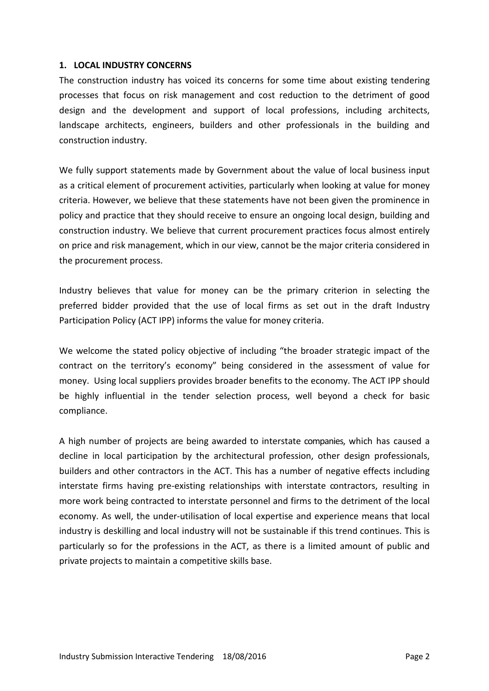#### **1. LOCAL INDUSTRY CONCERNS**

The construction industry has voiced its concerns for some time about existing tendering processes that focus on risk management and cost reduction to the detriment of good design and the development and support of local professions, including architects, landscape architects, engineers, builders and other professionals in the building and construction industry.

We fully support statements made by Government about the value of local business input as a critical element of procurement activities, particularly when looking at value for money criteria. However, we believe that these statements have not been given the prominence in policy and practice that they should receive to ensure an ongoing local design, building and construction industry. We believe that current procurement practices focus almost entirely on price and risk management, which in our view, cannot be the major criteria considered in the procurement process.

Industry believes that value for money can be the primary criterion in selecting the preferred bidder provided that the use of local firms as set out in the draft Industry Participation Policy (ACT IPP) informs the value for money criteria.

We welcome the stated policy objective of including "the broader strategic impact of the contract on the territory's economy" being considered in the assessment of value for money. Using local suppliers provides broader benefits to the economy. The ACT IPP should be highly influential in the tender selection process, well beyond a check for basic compliance.

A high number of projects are being awarded to interstate companies, which has caused a decline in local participation by the architectural profession, other design professionals, builders and other contractors in the ACT. This has a number of negative effects including interstate firms having pre-existing relationships with interstate contractors, resulting in more work being contracted to interstate personnel and firms to the detriment of the local economy. As well, the under-utilisation of local expertise and experience means that local industry is deskilling and local industry will not be sustainable if this trend continues. This is particularly so for the professions in the ACT, as there is a limited amount of public and private projects to maintain a competitive skills base.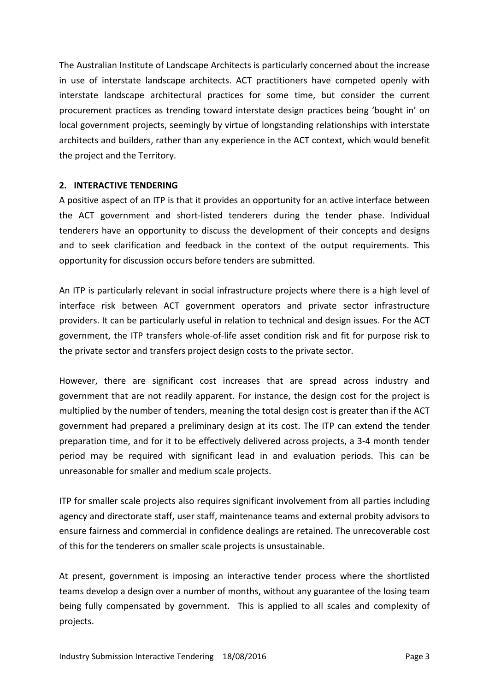The Australian Institute of Landscape Architects is particularly concerned about the increase in use of interstate landscape architects. ACT practitioners have competed openly with interstate landscape architectural practices for some time, but consider the current procurement practices as trending toward interstate design practices being 'bought in' on local government projects, seemingly by virtue of longstanding relationships with interstate architects and builders, rather than any experience in the ACT context, which would benefit the project and the Territory.

#### **2. INTERACTIVE TENDERING**

A positive aspect of an ITP is that it provides an opportunity for an active interface between the ACT government and short-listed tenderers during the tender phase. Individual tenderers have an opportunity to discuss the development of their concepts and designs and to seek clarification and feedback in the context of the output requirements. This opportunity for discussion occurs before tenders are submitted.

An ITP is particularly relevant in social infrastructure projects where there is a high level of interface risk between ACT government operators and private sector infrastructure providers. It can be particularly useful in relation to technical and design issues. For the ACT government, the ITP transfers whole-of-life asset condition risk and fit for purpose risk to the private sector and transfers project design costs to the private sector.

However, there are significant cost increases that are spread across industry and government that are not readily apparent. For instance, the design cost for the project is multiplied by the number of tenders, meaning the total design cost is greater than if the ACT government had prepared a preliminary design at its cost. The ITP can extend the tender preparation time, and for it to be effectively delivered across projects, a 3-4 month tender period may be required with significant lead in and evaluation periods. This can be unreasonable for smaller and medium scale projects.

ITP for smaller scale projects also requires significant involvement from all parties including agency and directorate staff, user staff, maintenance teams and external probity advisors to ensure fairness and commercial in confidence dealings are retained. The unrecoverable cost of this for the tenderers on smaller scale projects is unsustainable.

At present, government is imposing an interactive tender process where the shortlisted teams develop a design over a number of months, without any guarantee of the losing team being fully compensated by government. This is applied to all scales and complexity of projects.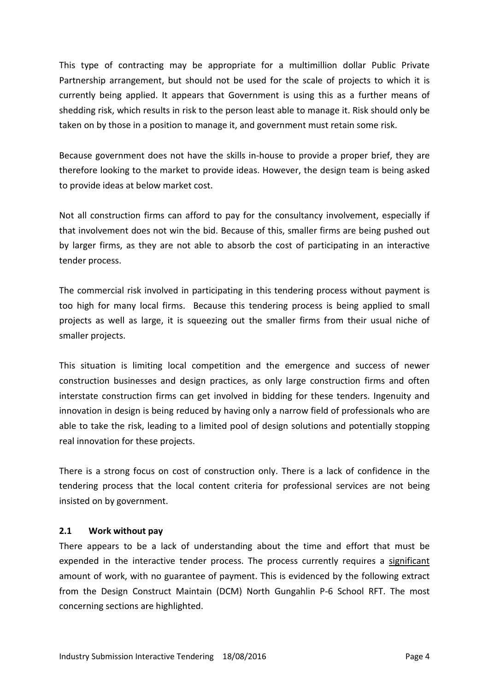This type of contracting may be appropriate for a multimillion dollar Public Private Partnership arrangement, but should not be used for the scale of projects to which it is currently being applied. It appears that Government is using this as a further means of shedding risk, which results in risk to the person least able to manage it. Risk should only be taken on by those in a position to manage it, and government must retain some risk.

Because government does not have the skills in-house to provide a proper brief, they are therefore looking to the market to provide ideas. However, the design team is being asked to provide ideas at below market cost.

Not all construction firms can afford to pay for the consultancy involvement, especially if that involvement does not win the bid. Because of this, smaller firms are being pushed out by larger firms, as they are not able to absorb the cost of participating in an interactive tender process.

The commercial risk involved in participating in this tendering process without payment is too high for many local firms. Because this tendering process is being applied to small projects as well as large, it is squeezing out the smaller firms from their usual niche of smaller projects.

This situation is limiting local competition and the emergence and success of newer construction businesses and design practices, as only large construction firms and often interstate construction firms can get involved in bidding for these tenders. Ingenuity and innovation in design is being reduced by having only a narrow field of professionals who are able to take the risk, leading to a limited pool of design solutions and potentially stopping real innovation for these projects.

There is a strong focus on cost of construction only. There is a lack of confidence in the tendering process that the local content criteria for professional services are not being insisted on by government.

#### **2.1 Work without pay**

There appears to be a lack of understanding about the time and effort that must be expended in the interactive tender process. The process currently requires a significant amount of work, with no guarantee of payment. This is evidenced by the following extract from the Design Construct Maintain (DCM) North Gungahlin P-6 School RFT. The most concerning sections are highlighted.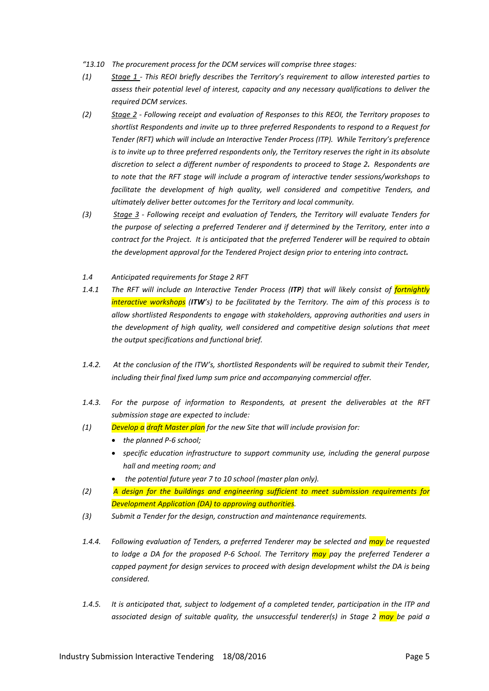- *"13.10 The procurement process for the DCM services will comprise three stages:*
- *(1) Stage 1 - This REOI briefly describes the Territory's requirement to allow interested parties to assess their potential level of interest, capacity and any necessary qualifications to deliver the required DCM services.*
- *(2) Stage 2 - Following receipt and evaluation of Responses to this REOI, the Territory proposes to shortlist Respondents and invite up to three preferred Respondents to respond to a Request for Tender (RFT) which will include an Interactive Tender Process (ITP). While Territory's preference is to invite up to three preferred respondents only, the Territory reserves the right in its absolute discretion to select a different number of respondents to proceed to Stage 2. Respondents are to note that the RFT stage will include a program of interactive tender sessions/workshops to facilitate the development of high quality, well considered and competitive Tenders, and ultimately deliver better outcomes for the Territory and local community.*
- *(3) Stage 3 - Following receipt and evaluation of Tenders, the Territory will evaluate Tenders for the purpose of selecting a preferred Tenderer and if determined by the Territory, enter into a contract for the Project. It is anticipated that the preferred Tenderer will be required to obtain the development approval for the Tendered Project design prior to entering into contract.*
- *1.4 Anticipated requirements for Stage 2 RFT*
- *1.4.1 The RFT will include an Interactive Tender Process (ITP) that will likely consist of fortnightly interactive workshops (ITW's) to be facilitated by the Territory. The aim of this process is to allow shortlisted Respondents to engage with stakeholders, approving authorities and users in the development of high quality, well considered and competitive design solutions that meet the output specifications and functional brief.*
- *1.4.2. At the conclusion of the ITW's, shortlisted Respondents will be required to submit their Tender, including their final fixed lump sum price and accompanying commercial offer.*
- *1.4.3. For the purpose of information to Respondents, at present the deliverables at the RFT submission stage are expected to include:*
- *(1) Develop a draft Master plan for the new Site that will include provision for:*
	- *the planned P-6 school;*
	- *specific education infrastructure to support community use, including the general purpose hall and meeting room; and*
	- *the potential future year 7 to 10 school (master plan only).*
- *(2) A design for the buildings and engineering sufficient to meet submission requirements for Development Application (DA) to approving authorities.*
- *(3) Submit a Tender for the design, construction and maintenance requirements.*
- *1.4.4. Following evaluation of Tenders, a preferred Tenderer may be selected and may be requested to lodge a DA for the proposed P-6 School. The Territory may pay the preferred Tenderer a capped payment for design services to proceed with design development whilst the DA is being considered.*
- *1.4.5. It is anticipated that, subject to lodgement of a completed tender, participation in the ITP and associated design of suitable quality, the unsuccessful tenderer(s) in Stage 2 may be paid a*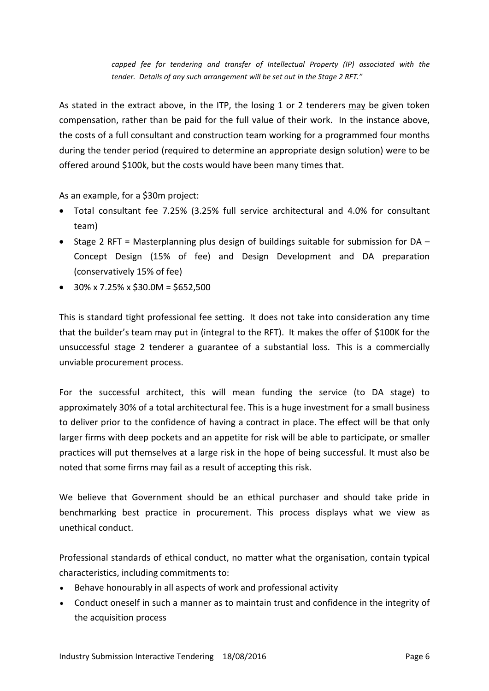*capped fee for tendering and transfer of Intellectual Property (IP) associated with the tender. Details of any such arrangement will be set out in the Stage 2 RFT."*

As stated in the extract above, in the ITP, the losing 1 or 2 tenderers may be given token compensation, rather than be paid for the full value of their work. In the instance above, the costs of a full consultant and construction team working for a programmed four months during the tender period (required to determine an appropriate design solution) were to be offered around \$100k, but the costs would have been many times that.

As an example, for a \$30m project:

- Total consultant fee 7.25% (3.25% full service architectural and 4.0% for consultant team)
- Stage 2 RFT = Masterplanning plus design of buildings suitable for submission for  $DA -$ Concept Design (15% of fee) and Design Development and DA preparation (conservatively 15% of fee)
- $\bullet$  30% x 7.25% x \$30.0M = \$652,500

This is standard tight professional fee setting. It does not take into consideration any time that the builder's team may put in (integral to the RFT). It makes the offer of \$100K for the unsuccessful stage 2 tenderer a guarantee of a substantial loss. This is a commercially unviable procurement process.

For the successful architect, this will mean funding the service (to DA stage) to approximately 30% of a total architectural fee. This is a huge investment for a small business to deliver prior to the confidence of having a contract in place. The effect will be that only larger firms with deep pockets and an appetite for risk will be able to participate, or smaller practices will put themselves at a large risk in the hope of being successful. It must also be noted that some firms may fail as a result of accepting this risk.

We believe that Government should be an ethical purchaser and should take pride in benchmarking best practice in procurement. This process displays what we view as unethical conduct.

Professional standards of ethical conduct, no matter what the organisation, contain typical characteristics, including commitments to:

- Behave honourably in all aspects of work and professional activity
- Conduct oneself in such a manner as to maintain trust and confidence in the integrity of the acquisition process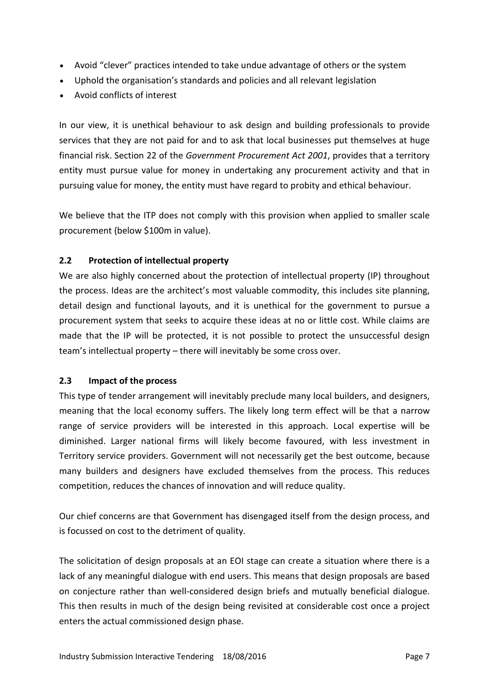- Avoid "clever" practices intended to take undue advantage of others or the system
- Uphold the organisation's standards and policies and all relevant legislation
- Avoid conflicts of interest

In our view, it is unethical behaviour to ask design and building professionals to provide services that they are not paid for and to ask that local businesses put themselves at huge financial risk. Section 22 of the *Government Procurement Act 2001*, provides that a territory entity must pursue value for money in undertaking any procurement activity and that in pursuing value for money, the entity must have regard to probity and ethical behaviour.

We believe that the ITP does not comply with this provision when applied to smaller scale procurement (below \$100m in value).

## **2.2 Protection of intellectual property**

We are also highly concerned about the protection of intellectual property (IP) throughout the process. Ideas are the architect's most valuable commodity, this includes site planning, detail design and functional layouts, and it is unethical for the government to pursue a procurement system that seeks to acquire these ideas at no or little cost. While claims are made that the IP will be protected, it is not possible to protect the unsuccessful design team's intellectual property – there will inevitably be some cross over.

## **2.3 Impact of the process**

This type of tender arrangement will inevitably preclude many local builders, and designers, meaning that the local economy suffers. The likely long term effect will be that a narrow range of service providers will be interested in this approach. Local expertise will be diminished. Larger national firms will likely become favoured, with less investment in Territory service providers. Government will not necessarily get the best outcome, because many builders and designers have excluded themselves from the process. This reduces competition, reduces the chances of innovation and will reduce quality.

Our chief concerns are that Government has disengaged itself from the design process, and is focussed on cost to the detriment of quality.

The solicitation of design proposals at an EOI stage can create a situation where there is a lack of any meaningful dialogue with end users. This means that design proposals are based on conjecture rather than well-considered design briefs and mutually beneficial dialogue. This then results in much of the design being revisited at considerable cost once a project enters the actual commissioned design phase.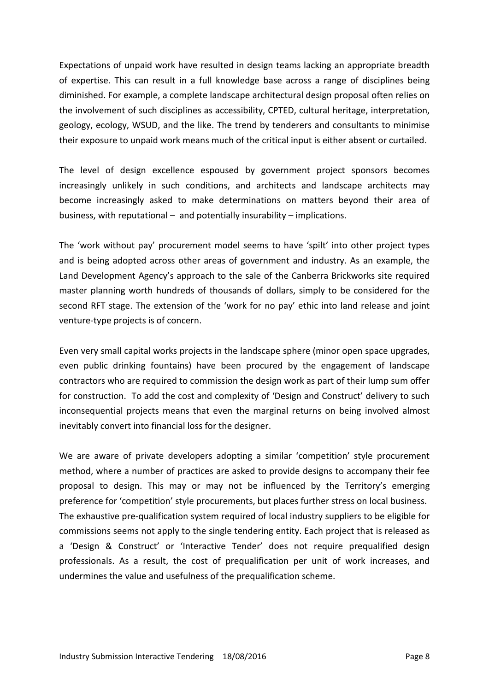Expectations of unpaid work have resulted in design teams lacking an appropriate breadth of expertise. This can result in a full knowledge base across a range of disciplines being diminished. For example, a complete landscape architectural design proposal often relies on the involvement of such disciplines as accessibility, CPTED, cultural heritage, interpretation, geology, ecology, WSUD, and the like. The trend by tenderers and consultants to minimise their exposure to unpaid work means much of the critical input is either absent or curtailed.

The level of design excellence espoused by government project sponsors becomes increasingly unlikely in such conditions, and architects and landscape architects may become increasingly asked to make determinations on matters beyond their area of business, with reputational – and potentially insurability – implications.

The 'work without pay' procurement model seems to have 'spilt' into other project types and is being adopted across other areas of government and industry. As an example, the Land Development Agency's approach to the sale of the Canberra Brickworks site required master planning worth hundreds of thousands of dollars, simply to be considered for the second RFT stage. The extension of the 'work for no pay' ethic into land release and joint venture-type projects is of concern.

Even very small capital works projects in the landscape sphere (minor open space upgrades, even public drinking fountains) have been procured by the engagement of landscape contractors who are required to commission the design work as part of their lump sum offer for construction. To add the cost and complexity of 'Design and Construct' delivery to such inconsequential projects means that even the marginal returns on being involved almost inevitably convert into financial loss for the designer.

We are aware of private developers adopting a similar 'competition' style procurement method, where a number of practices are asked to provide designs to accompany their fee proposal to design. This may or may not be influenced by the Territory's emerging preference for 'competition' style procurements, but places further stress on local business. The exhaustive pre-qualification system required of local industry suppliers to be eligible for commissions seems not apply to the single tendering entity. Each project that is released as a 'Design & Construct' or 'Interactive Tender' does not require prequalified design professionals. As a result, the cost of prequalification per unit of work increases, and undermines the value and usefulness of the prequalification scheme.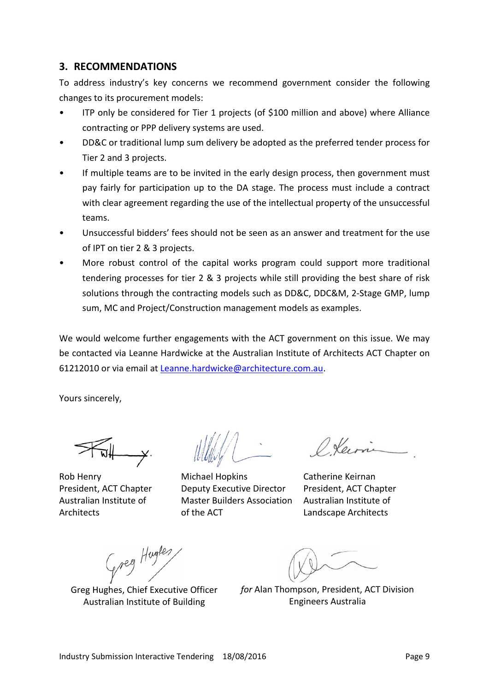## **3. RECOMMENDATIONS**

To address industry's key concerns we recommend government consider the following changes to its procurement models:

- ITP only be considered for Tier 1 projects (of \$100 million and above) where Alliance contracting or PPP delivery systems are used.
- DD&C or traditional lump sum delivery be adopted as the preferred tender process for Tier 2 and 3 projects.
- If multiple teams are to be invited in the early design process, then government must pay fairly for participation up to the DA stage. The process must include a contract with clear agreement regarding the use of the intellectual property of the unsuccessful teams.
- Unsuccessful bidders' fees should not be seen as an answer and treatment for the use of IPT on tier 2 & 3 projects.
- More robust control of the capital works program could support more traditional tendering processes for tier 2 & 3 projects while still providing the best share of risk solutions through the contracting models such as DD&C, DDC&M, 2-Stage GMP, lump sum, MC and Project/Construction management models as examples.

We would welcome further engagements with the ACT government on this issue. We may be contacted via Leanne Hardwicke at the Australian Institute of Architects ACT Chapter on 61212010 or via email at [Leanne.hardwicke@architecture.com.au.](mailto:Leanne.hardwicke@architecture.com.au)

Yours sincerely,

Rob Henry President, ACT Chapter Australian Institute of **Architects** 

Michael Hopkins Deputy Executive Director Master Builders Association Australian Institute of of the ACT

Olevie

Catherine Keirnan President, ACT Chapter Landscape Architects

Greg Hughes<br>Greg Hughes, Chief Executive Officer

Australian Institute of Building

*for* Alan Thompson, President, ACT Division Engineers Australia